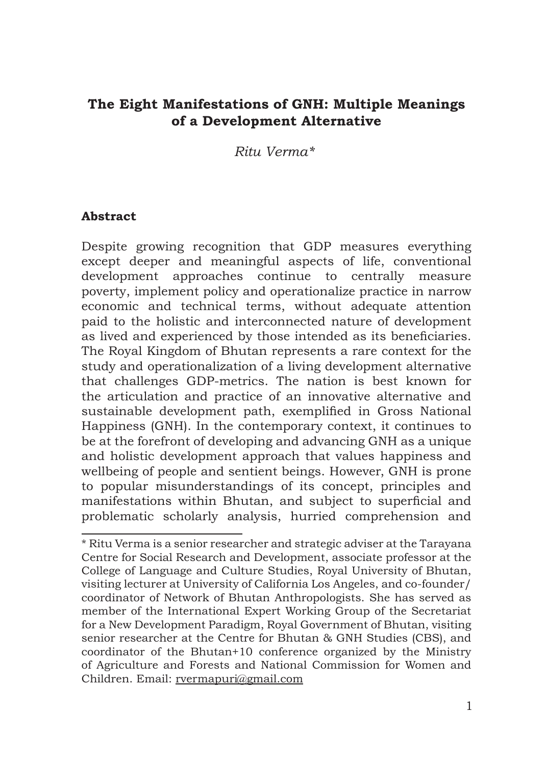# **The Eight Manifestations of GNH: Multiple Meanings of a Development Alternative**

*Ritu Verma\*1*

#### **Abstract**

Despite growing recognition that GDP measures everything except deeper and meaningful aspects of life, conventional development approaches continue to centrally measure poverty, implement policy and operationalize practice in narrow economic and technical terms, without adequate attention paid to the holistic and interconnected nature of development as lived and experienced by those intended as its beneficiaries. The Royal Kingdom of Bhutan represents a rare context for the study and operationalization of a living development alternative that challenges GDP-metrics. The nation is best known for the articulation and practice of an innovative alternative and sustainable development path, exemplified in Gross National Happiness (GNH). In the contemporary context, it continues to be at the forefront of developing and advancing GNH as a unique and holistic development approach that values happiness and wellbeing of people and sentient beings. However, GNH is prone to popular misunderstandings of its concept, principles and manifestations within Bhutan, and subject to superficial and problematic scholarly analysis, hurried comprehension and

<sup>\*</sup> Ritu Verma is a senior researcher and strategic adviser at the Tarayana Centre for Social Research and Development, associate professor at the College of Language and Culture Studies, Royal University of Bhutan, visiting lecturer at University of California Los Angeles, and co-founder/ coordinator of Network of Bhutan Anthropologists. She has served as member of the International Expert Working Group of the Secretariat for a New Development Paradigm, Royal Government of Bhutan, visiting senior researcher at the Centre for Bhutan & GNH Studies (CBS), and coordinator of the Bhutan+10 conference organized by the Ministry of Agriculture and Forests and National Commission for Women and Children. Email: rvermapuri@gmail.com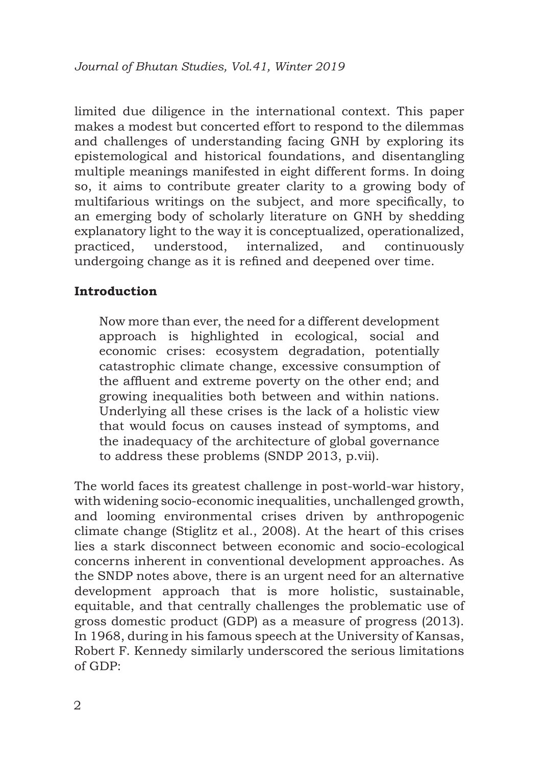limited due diligence in the international context. This paper makes a modest but concerted effort to respond to the dilemmas and challenges of understanding facing GNH by exploring its epistemological and historical foundations, and disentangling multiple meanings manifested in eight different forms. In doing so, it aims to contribute greater clarity to a growing body of multifarious writings on the subject, and more specifically, to an emerging body of scholarly literature on GNH by shedding explanatory light to the way it is conceptualized, operationalized, practiced, understood, internalized, and continuously undergoing change as it is refined and deepened over time.

## **Introduction**

Now more than ever, the need for a different development approach is highlighted in ecological, social and economic crises: ecosystem degradation, potentially catastrophic climate change, excessive consumption of the affluent and extreme poverty on the other end; and growing inequalities both between and within nations. Underlying all these crises is the lack of a holistic view that would focus on causes instead of symptoms, and the inadequacy of the architecture of global governance to address these problems (SNDP 2013, p.vii).

The world faces its greatest challenge in post-world-war history, with widening socio-economic inequalities, unchallenged growth, and looming environmental crises driven by anthropogenic climate change (Stiglitz et al., 2008). At the heart of this crises lies a stark disconnect between economic and socio-ecological concerns inherent in conventional development approaches. As the SNDP notes above, there is an urgent need for an alternative development approach that is more holistic, sustainable, equitable, and that centrally challenges the problematic use of gross domestic product (GDP) as a measure of progress (2013). In 1968, during in his famous speech at the University of Kansas, Robert F. Kennedy similarly underscored the serious limitations of GDP: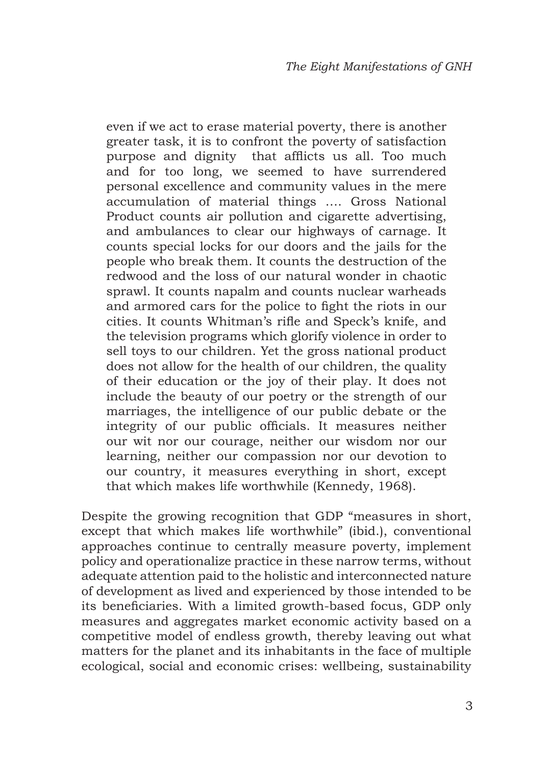even if we act to erase material poverty, there is another greater task, it is to confront the poverty of satisfaction purpose and dignity that afflicts us all. Too much and for too long, we seemed to have surrendered personal excellence and community values in the mere accumulation of material things …. Gross National Product counts air pollution and cigarette advertising, and ambulances to clear our highways of carnage. It counts special locks for our doors and the jails for the people who break them. It counts the destruction of the redwood and the loss of our natural wonder in chaotic sprawl. It counts napalm and counts nuclear warheads and armored cars for the police to fight the riots in our cities. It counts Whitman's rifle and Speck's knife, and the television programs which glorify violence in order to sell toys to our children. Yet the gross national product does not allow for the health of our children, the quality of their education or the joy of their play. It does not include the beauty of our poetry or the strength of our marriages, the intelligence of our public debate or the integrity of our public officials. It measures neither our wit nor our courage, neither our wisdom nor our learning, neither our compassion nor our devotion to our country, it measures everything in short, except that which makes life worthwhile (Kennedy, 1968).

Despite the growing recognition that GDP "measures in short, except that which makes life worthwhile" (ibid.), conventional approaches continue to centrally measure poverty, implement policy and operationalize practice in these narrow terms, without adequate attention paid to the holistic and interconnected nature of development as lived and experienced by those intended to be its beneficiaries. With a limited growth-based focus, GDP only measures and aggregates market economic activity based on a competitive model of endless growth, thereby leaving out what matters for the planet and its inhabitants in the face of multiple ecological, social and economic crises: wellbeing, sustainability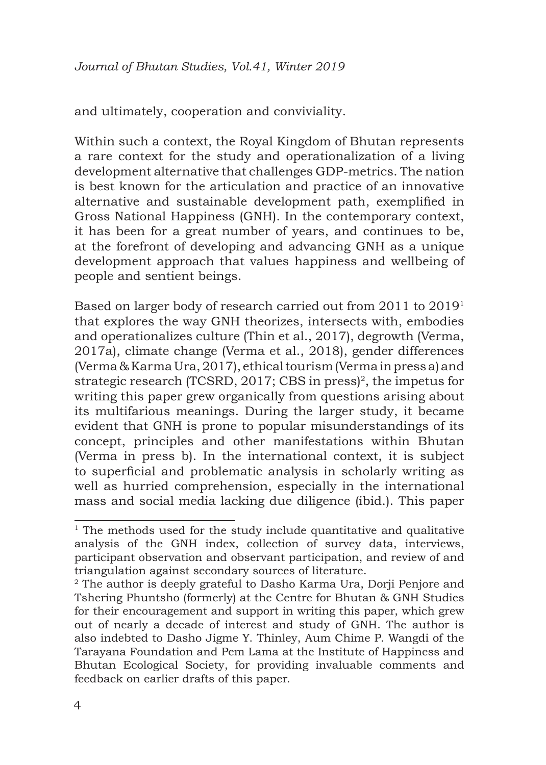and ultimately, cooperation and conviviality.

Within such a context, the Royal Kingdom of Bhutan represents a rare context for the study and operationalization of a living development alternative that challenges GDP-metrics. The nation is best known for the articulation and practice of an innovative alternative and sustainable development path, exemplified in Gross National Happiness (GNH). In the contemporary context, it has been for a great number of years, and continues to be, at the forefront of developing and advancing GNH as a unique development approach that values happiness and wellbeing of people and sentient beings.

Based on larger body of research carried out from 2011 to 2019<sup>1</sup> that explores the way GNH theorizes, intersects with, embodies and operationalizes culture (Thin et al., 2017), degrowth (Verma, 2017a), climate change (Verma et al., 2018), gender differences (Verma & Karma Ura, 2017), ethical tourism (Verma in press a) and strategic research (TCSRD, 2017; CBS in press)<sup>2</sup>, the impetus for writing this paper grew organically from questions arising about its multifarious meanings. During the larger study, it became evident that GNH is prone to popular misunderstandings of its concept, principles and other manifestations within Bhutan (Verma in press b). In the international context, it is subject to superficial and problematic analysis in scholarly writing as well as hurried comprehension, especially in the international mass and social media lacking due diligence (ibid.). This paper

 $1$ <sup>1</sup> The methods used for the study include quantitative and qualitative analysis of the GNH index, collection of survey data, interviews, participant observation and observant participation, and review of and triangulation against secondary sources of literature.

<sup>&</sup>lt;sup>2</sup> The author is deeply grateful to Dasho Karma Ura, Dorji Penjore and Tshering Phuntsho (formerly) at the Centre for Bhutan & GNH Studies for their encouragement and support in writing this paper, which grew out of nearly a decade of interest and study of GNH. The author is also indebted to Dasho Jigme Y. Thinley, Aum Chime P. Wangdi of the Tarayana Foundation and Pem Lama at the Institute of Happiness and Bhutan Ecological Society, for providing invaluable comments and feedback on earlier drafts of this paper.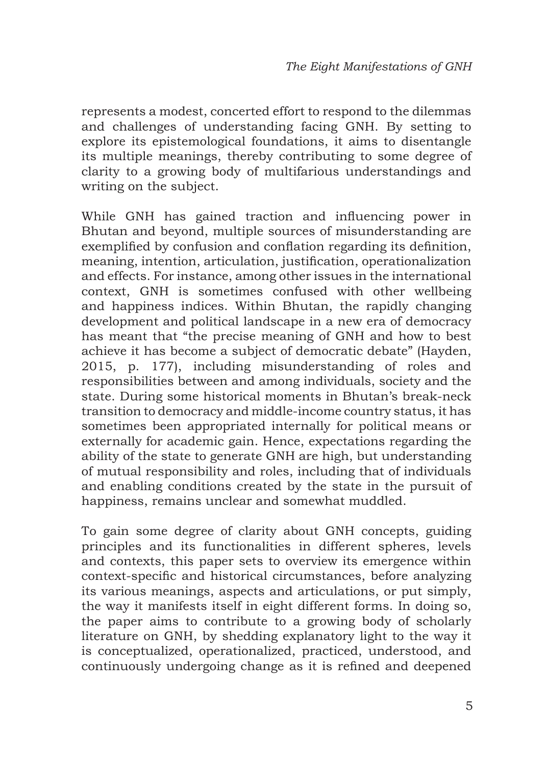represents a modest, concerted effort to respond to the dilemmas and challenges of understanding facing GNH. By setting to explore its epistemological foundations, it aims to disentangle its multiple meanings, thereby contributing to some degree of clarity to a growing body of multifarious understandings and writing on the subject.

While GNH has gained traction and influencing power in Bhutan and beyond, multiple sources of misunderstanding are exemplified by confusion and conflation regarding its definition, meaning, intention, articulation, justification, operationalization and effects. For instance, among other issues in the international context, GNH is sometimes confused with other wellbeing and happiness indices. Within Bhutan, the rapidly changing development and political landscape in a new era of democracy has meant that "the precise meaning of GNH and how to best achieve it has become a subject of democratic debate" (Hayden, 2015, p. 177), including misunderstanding of roles and responsibilities between and among individuals, society and the state. During some historical moments in Bhutan's break-neck transition to democracy and middle-income country status, it has sometimes been appropriated internally for political means or externally for academic gain. Hence, expectations regarding the ability of the state to generate GNH are high, but understanding of mutual responsibility and roles, including that of individuals and enabling conditions created by the state in the pursuit of happiness, remains unclear and somewhat muddled.

To gain some degree of clarity about GNH concepts, guiding principles and its functionalities in different spheres, levels and contexts, this paper sets to overview its emergence within context-specific and historical circumstances, before analyzing its various meanings, aspects and articulations, or put simply, the way it manifests itself in eight different forms. In doing so, the paper aims to contribute to a growing body of scholarly literature on GNH, by shedding explanatory light to the way it is conceptualized, operationalized, practiced, understood, and continuously undergoing change as it is refined and deepened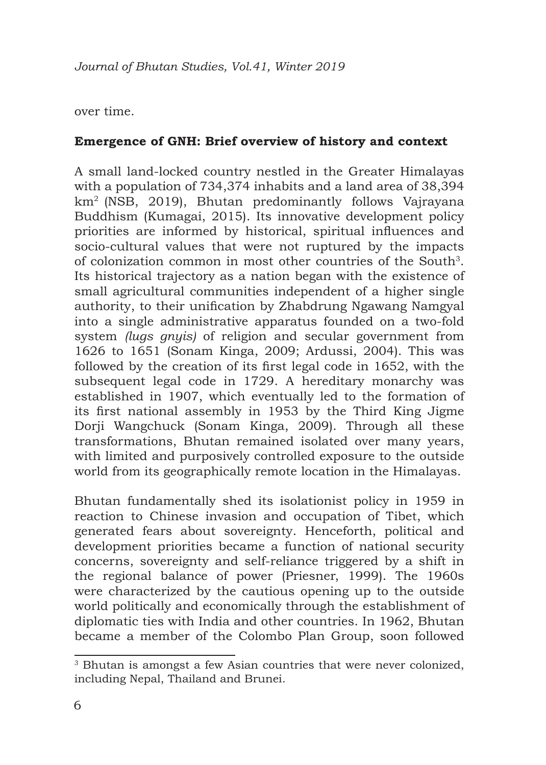#### over time.

#### **Emergence of GNH: Brief overview of history and context**

A small land-locked country nestled in the Greater Himalayas with a population of 734,374 inhabits and a land area of 38,394 km<sup>2</sup>(NSB, 2019), Bhutan predominantly follows Vajrayana Buddhism (Kumagai, 2015). Its innovative development policy priorities are informed by historical, spiritual influences and socio-cultural values that were not ruptured by the impacts of colonization common in most other countries of the South3. Its historical trajectory as a nation began with the existence of small agricultural communities independent of a higher single authority, to their unification by Zhabdrung Ngawang Namgyal into a single administrative apparatus founded on a two-fold system *(lugs gnyis)* of religion and secular government from 1626 to 1651 (Sonam Kinga, 2009; Ardussi, 2004). This was followed by the creation of its first legal code in 1652, with the subsequent legal code in 1729. A hereditary monarchy was established in 1907, which eventually led to the formation of its first national assembly in 1953 by the Third King Jigme Dorji Wangchuck (Sonam Kinga, 2009). Through all these transformations, Bhutan remained isolated over many years, with limited and purposively controlled exposure to the outside world from its geographically remote location in the Himalayas.

Bhutan fundamentally shed its isolationist policy in 1959 in reaction to Chinese invasion and occupation of Tibet, which generated fears about sovereignty. Henceforth, political and development priorities became a function of national security concerns, sovereignty and self-reliance triggered by a shift in the regional balance of power (Priesner, 1999). The 1960s were characterized by the cautious opening up to the outside world politically and economically through the establishment of diplomatic ties with India and other countries. In 1962, Bhutan became a member of the Colombo Plan Group, soon followed

<sup>&</sup>lt;sup>3</sup> Bhutan is amongst a few Asian countries that were never colonized, including Nepal, Thailand and Brunei.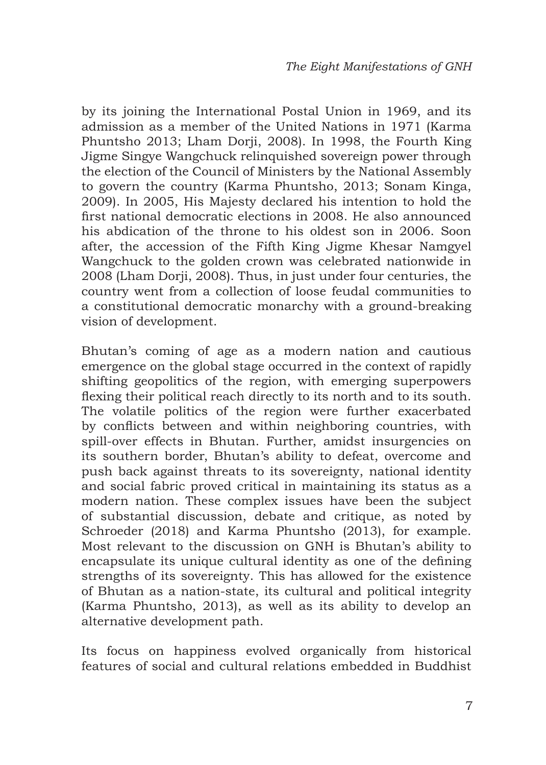by its joining the International Postal Union in 1969, and its admission as a member of the United Nations in 1971 (Karma Phuntsho 2013; Lham Dorji, 2008). In 1998, the Fourth King Jigme Singye Wangchuck relinquished sovereign power through the election of the Council of Ministers by the National Assembly to govern the country (Karma Phuntsho, 2013; Sonam Kinga, 2009). In 2005, His Majesty declared his intention to hold the first national democratic elections in 2008. He also announced his abdication of the throne to his oldest son in 2006. Soon after, the accession of the Fifth King Jigme Khesar Namgyel Wangchuck to the golden crown was celebrated nationwide in 2008 (Lham Dorii, 2008). Thus, in just under four centuries, the country went from a collection of loose feudal communities to a constitutional democratic monarchy with a ground-breaking vision of development.

Bhutan's coming of age as a modern nation and cautious emergence on the global stage occurred in the context of rapidly shifting geopolitics of the region, with emerging superpowers flexing their political reach directly to its north and to its south. The volatile politics of the region were further exacerbated by conflicts between and within neighboring countries, with spill-over effects in Bhutan. Further, amidst insurgencies on its southern border, Bhutan's ability to defeat, overcome and push back against threats to its sovereignty, national identity and social fabric proved critical in maintaining its status as a modern nation. These complex issues have been the subject of substantial discussion, debate and critique, as noted by Schroeder (2018) and Karma Phuntsho (2013), for example. Most relevant to the discussion on GNH is Bhutan's ability to encapsulate its unique cultural identity as one of the defining strengths of its sovereignty. This has allowed for the existence of Bhutan as a nation-state, its cultural and political integrity (Karma Phuntsho, 2013), as well as its ability to develop an alternative development path.

Its focus on happiness evolved organically from historical features of social and cultural relations embedded in Buddhist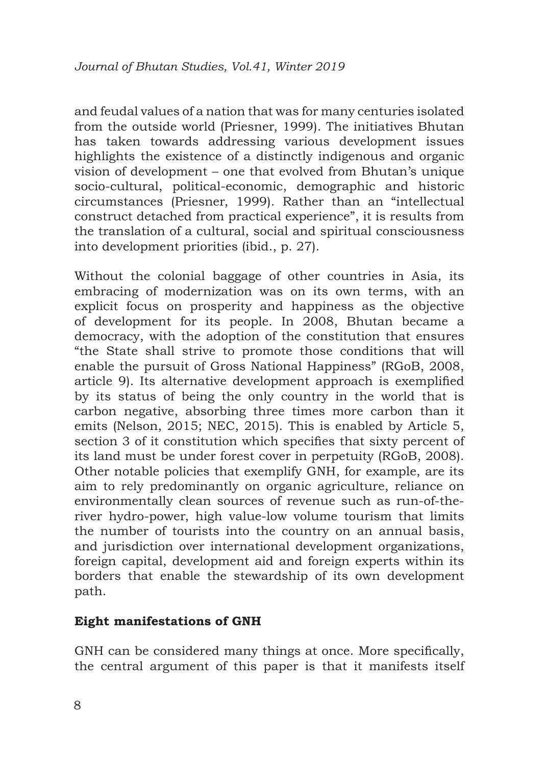and feudal values of a nation that was for many centuries isolated from the outside world (Priesner, 1999). The initiatives Bhutan has taken towards addressing various development issues highlights the existence of a distinctly indigenous and organic vision of development – one that evolved from Bhutan's unique socio-cultural, political-economic, demographic and historic circumstances (Priesner, 1999). Rather than an "intellectual construct detached from practical experience", it is results from the translation of a cultural, social and spiritual consciousness into development priorities (ibid., p. 27).

Without the colonial baggage of other countries in Asia, its embracing of modernization was on its own terms, with an explicit focus on prosperity and happiness as the objective of development for its people. In 2008, Bhutan became a democracy, with the adoption of the constitution that ensures "the State shall strive to promote those conditions that will enable the pursuit of Gross National Happiness" (RGoB, 2008, article 9). Its alternative development approach is exemplified by its status of being the only country in the world that is carbon negative, absorbing three times more carbon than it emits (Nelson, 2015; NEC, 2015). This is enabled by Article 5, section 3 of it constitution which specifies that sixty percent of its land must be under forest cover in perpetuity (RGoB, 2008). Other notable policies that exemplify GNH, for example, are its aim to rely predominantly on organic agriculture, reliance on environmentally clean sources of revenue such as run-of-theriver hydro-power, high value-low volume tourism that limits the number of tourists into the country on an annual basis, and jurisdiction over international development organizations, foreign capital, development aid and foreign experts within its borders that enable the stewardship of its own development path.

## **Eight manifestations of GNH**

GNH can be considered many things at once. More specifically, the central argument of this paper is that it manifests itself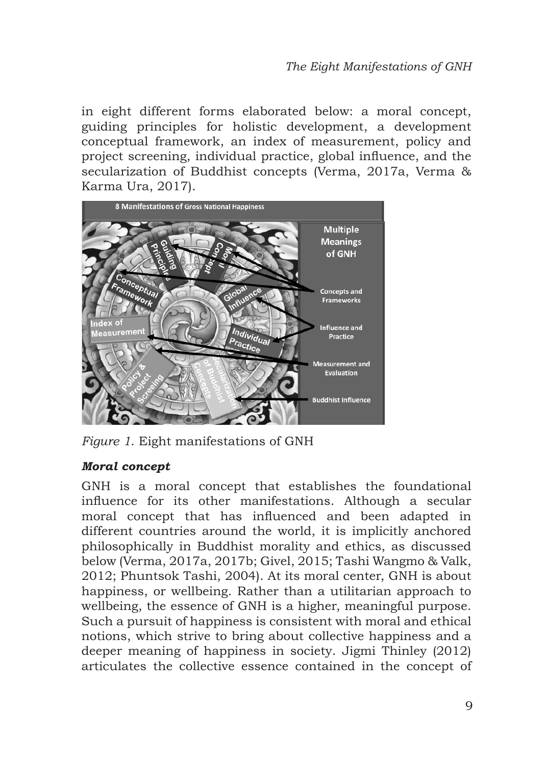in eight different forms elaborated below: a moral concept, guiding principles for holistic development, a development conceptual framework, an index of measurement, policy and project screening, individual practice, global influence, and the secularization of Buddhist concepts (Verma, 2017a, Verma & Karma Ura, 2017).



*Figure 1*. Eight manifestations of GNH

## *Moral concept*

GNH is a moral concept that establishes the foundational influence for its other manifestations. Although a secular moral concept that has influenced and been adapted in different countries around the world, it is implicitly anchored philosophically in Buddhist morality and ethics, as discussed below (Verma, 2017a, 2017b; Givel, 2015; Tashi Wangmo & Valk, 2012; Phuntsok Tashi, 2004). At its moral center, GNH is about happiness, or wellbeing. Rather than a utilitarian approach to wellbeing, the essence of GNH is a higher, meaningful purpose. Such a pursuit of happiness is consistent with moral and ethical notions, which strive to bring about collective happiness and a deeper meaning of happiness in society. Jigmi Thinley (2012) articulates the collective essence contained in the concept of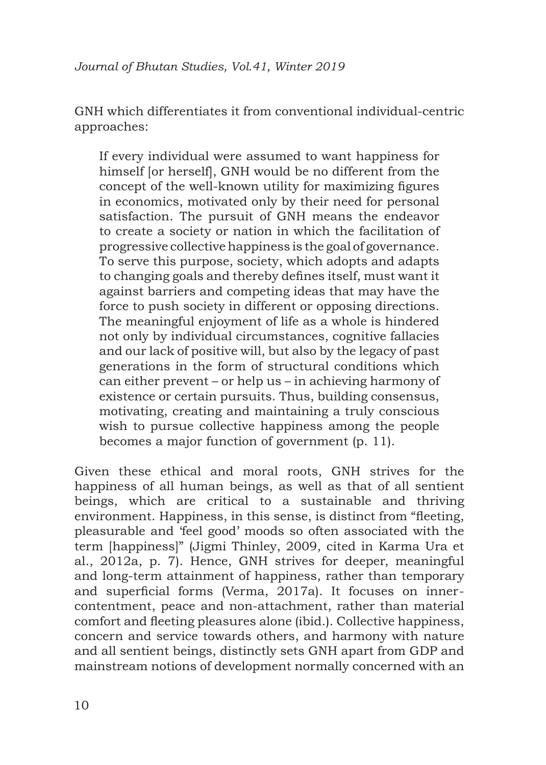GNH which differentiates it from conventional individual-centric approaches:

If every individual were assumed to want happiness for himself lor herselfl, GNH would be no different from the concept of the well-known utility for maximizing figures in economics, motivated only by their need for personal satisfaction. The pursuit of GNH means the endeavor to create a society or nation in which the facilitation of progressive collective happiness is the goal of governance. To serve this purpose, society, which adopts and adapts to changing goals and thereby defines itself, must want it against barriers and competing ideas that may have the force to push society in different or opposing directions. The meaningful enjoyment of life as a whole is hindered not only by individual circumstances, cognitive fallacies and our lack of positive will, but also by the legacy of past generations in the form of structural conditions which can either prevent – or help us – in achieving harmony of existence or certain pursuits. Thus, building consensus, motivating, creating and maintaining a truly conscious wish to pursue collective happiness among the people becomes a major function of government (p. 11).

Given these ethical and moral roots, GNH strives for the happiness of all human beings, as well as that of all sentient beings, which are critical to a sustainable and thriving environment. Happiness, in this sense, is distinct from "fleeting. pleasurable and 'feel good' moods so often associated with the term [happiness]" (Jigmi Thinley, 2009, cited in Karma Ura et al., 2012a, p. 7). Hence, GNH strives for deeper, meaningful and long-term attainment of happiness, rather than temporary and superficial forms (Verma, 2017a). It focuses on innercontentment, peace and non-attachment, rather than material comfort and fleeting pleasures alone (ibid.). Collective happiness, concern and service towards others, and harmony with nature and all sentient beings, distinctly sets GNH apart from GDP and mainstream notions of development normally concerned with an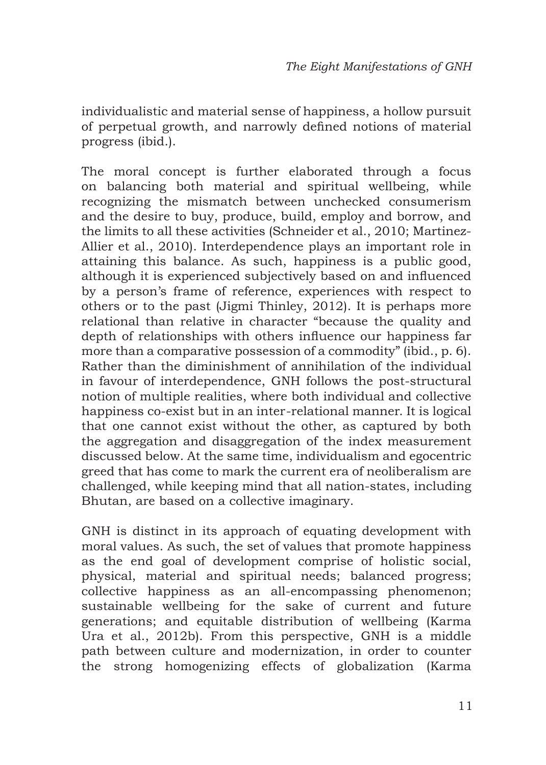individualistic and material sense of happiness, a hollow pursuit of perpetual growth, and narrowly defined notions of material progress (ibid.).

The moral concept is further elaborated through a focus on balancing both material and spiritual wellbeing, while recognizing the mismatch between unchecked consumerism and the desire to buy, produce, build, employ and borrow, and the limits to all these activities (Schneider et al., 2010; Martinez-Allier et al., 2010). Interdependence plays an important role in attaining this balance. As such, happiness is a public good, although it is experienced subjectively based on and influenced by a person's frame of reference, experiences with respect to others or to the past (Jigmi Thinley, 2012). It is perhaps more relational than relative in character "because the quality and depth of relationships with others influence our happiness far more than a comparative possession of a commodity" (ibid., p. 6). Rather than the diminishment of annihilation of the individual in favour of interdependence, GNH follows the post-structural notion of multiple realities, where both individual and collective happiness co-exist but in an inter-relational manner. It is logical that one cannot exist without the other, as captured by both the aggregation and disaggregation of the index measurement discussed below. At the same time, individualism and egocentric greed that has come to mark the current era of neoliberalism are challenged, while keeping mind that all nation-states, including Bhutan, are based on a collective imaginary.

GNH is distinct in its approach of equating development with moral values. As such, the set of values that promote happiness as the end goal of development comprise of holistic social, physical, material and spiritual needs; balanced progress; collective happiness as an all-encompassing phenomenon; sustainable wellbeing for the sake of current and future generations; and equitable distribution of wellbeing (Karma Ura et al., 2012b). From this perspective, GNH is a middle path between culture and modernization, in order to counter the strong homogenizing effects of globalization (Karma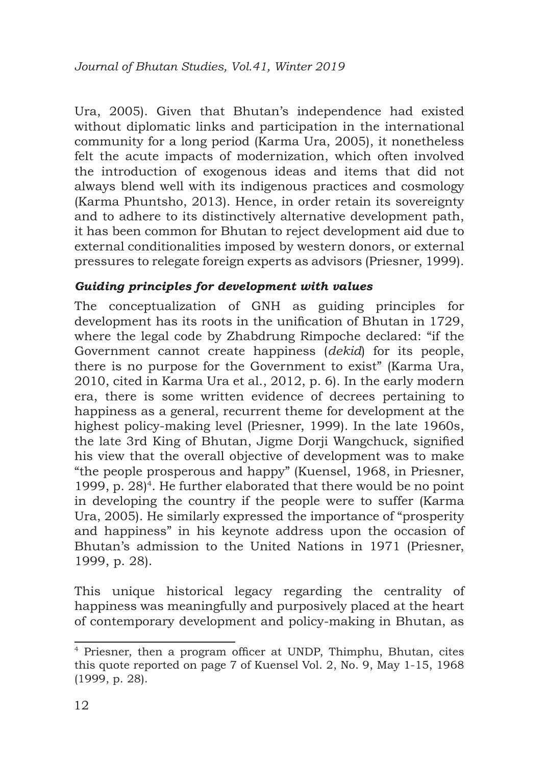Ura, 2005). Given that Bhutan's independence had existed without diplomatic links and participation in the international community for a long period (Karma Ura, 2005), it nonetheless felt the acute impacts of modernization, which often involved the introduction of exogenous ideas and items that did not always blend well with its indigenous practices and cosmology (Karma Phuntsho, 2013). Hence, in order retain its sovereignty and to adhere to its distinctively alternative development path, it has been common for Bhutan to reject development aid due to external conditionalities imposed by western donors, or external pressures to relegate foreign experts as advisors (Priesner, 1999).

## *Guiding principles for development with values*

The conceptualization of GNH as guiding principles for development has its roots in the unification of Bhutan in 1729, where the legal code by Zhabdrung Rimpoche declared: "if the Government cannot create happiness (*dekid*) for its people, there is no purpose for the Government to exist" (Karma Ura, 2010, cited in Karma Ura et al., 2012, p. 6). In the early modern era, there is some written evidence of decrees pertaining to happiness as a general, recurrent theme for development at the highest policy-making level (Priesner, 1999). In the late 1960s, the late 3rd King of Bhutan, Jigme Dorji Wangchuck, signified his view that the overall objective of development was to make "the people prosperous and happy" (Kuensel, 1968, in Priesner, 1999, p.  $28$ <sup>4</sup>. He further elaborated that there would be no point in developing the country if the people were to suffer (Karma Ura, 2005). He similarly expressed the importance of "prosperity and happiness" in his keynote address upon the occasion of Bhutan's admission to the United Nations in 1971 (Priesner, 1999, p. 28).

This unique historical legacy regarding the centrality of happiness was meaningfully and purposively placed at the heart of contemporary development and policy-making in Bhutan, as

<sup>4</sup> Priesner, then a program officer at UNDP, Thimphu, Bhutan, cites this quote reported on page 7 of Kuensel Vol. 2, No. 9, May 1-15, 1968 (1999, p. 28).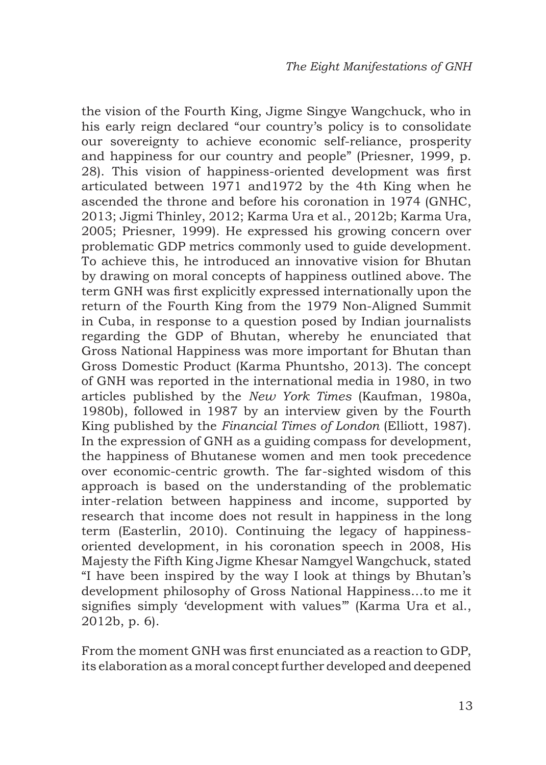the vision of the Fourth King, Jigme Singye Wangchuck, who in his early reign declared "our country's policy is to consolidate our sovereignty to achieve economic self-reliance, prosperity and happiness for our country and people" (Priesner, 1999, p. 28). This vision of happiness-oriented development was first articulated between 1971 and1972 by the 4th King when he ascended the throne and before his coronation in 1974 (GNHC, 2013; Jigmi Thinley, 2012; Karma Ura et al., 2012b; Karma Ura, 2005; Priesner, 1999). He expressed his growing concern over problematic GDP metrics commonly used to guide development. To achieve this, he introduced an innovative vision for Bhutan by drawing on moral concepts of happiness outlined above. The term GNH was first explicitly expressed internationally upon the return of the Fourth King from the 1979 Non-Aligned Summit in Cuba, in response to a question posed by Indian journalists regarding the GDP of Bhutan, whereby he enunciated that Gross National Happiness was more important for Bhutan than Gross Domestic Product (Karma Phuntsho, 2013). The concept of GNH was reported in the international media in 1980, in two articles published by the *New York Times* (Kaufman, 1980a, 1980b), followed in 1987 by an interview given by the Fourth King published by the *Financial Times of London* (Elliott, 1987). In the expression of GNH as a guiding compass for development, the happiness of Bhutanese women and men took precedence over economic-centric growth. The far-sighted wisdom of this approach is based on the understanding of the problematic inter-relation between happiness and income, supported by research that income does not result in happiness in the long term (Easterlin, 2010). Continuing the legacy of happinessoriented development, in his coronation speech in 2008, His Majesty the Fifth King Jigme Khesar Namgyel Wangchuck, stated "I have been inspired by the way I look at things by Bhutan's development philosophy of Gross National Happiness…to me it signifies simply 'development with values'" (Karma Ura et al., 2012b, p. 6).

From the moment GNH was first enunciated as a reaction to GDP, its elaboration as a moral concept further developed and deepened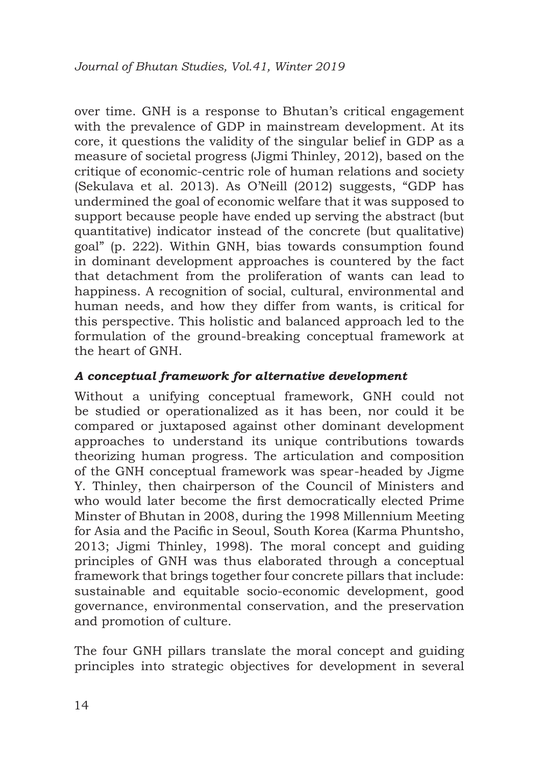over time. GNH is a response to Bhutan's critical engagement with the prevalence of GDP in mainstream development. At its core, it questions the validity of the singular belief in GDP as a measure of societal progress (Jigmi Thinley, 2012), based on the critique of economic-centric role of human relations and society (Sekulava et al. 2013). As O'Neill (2012) suggests, "GDP has undermined the goal of economic welfare that it was supposed to support because people have ended up serving the abstract (but quantitative) indicator instead of the concrete (but qualitative) goal" (p. 222). Within GNH, bias towards consumption found in dominant development approaches is countered by the fact that detachment from the proliferation of wants can lead to happiness. A recognition of social, cultural, environmental and human needs, and how they differ from wants, is critical for this perspective. This holistic and balanced approach led to the formulation of the ground-breaking conceptual framework at the heart of GNH.

# *A conceptual framework for alternative development*

Without a unifying conceptual framework, GNH could not be studied or operationalized as it has been, nor could it be compared or juxtaposed against other dominant development approaches to understand its unique contributions towards theorizing human progress. The articulation and composition of the GNH conceptual framework was spear-headed by Jigme Y. Thinley, then chairperson of the Council of Ministers and who would later become the first democratically elected Prime Minster of Bhutan in 2008, during the 1998 Millennium Meeting for Asia and the Pacific in Seoul, South Korea (Karma Phuntsho, 2013; Jigmi Thinley, 1998). The moral concept and guiding principles of GNH was thus elaborated through a conceptual framework that brings together four concrete pillars that include: sustainable and equitable socio-economic development, good governance, environmental conservation, and the preservation and promotion of culture.

The four GNH pillars translate the moral concept and guiding principles into strategic objectives for development in several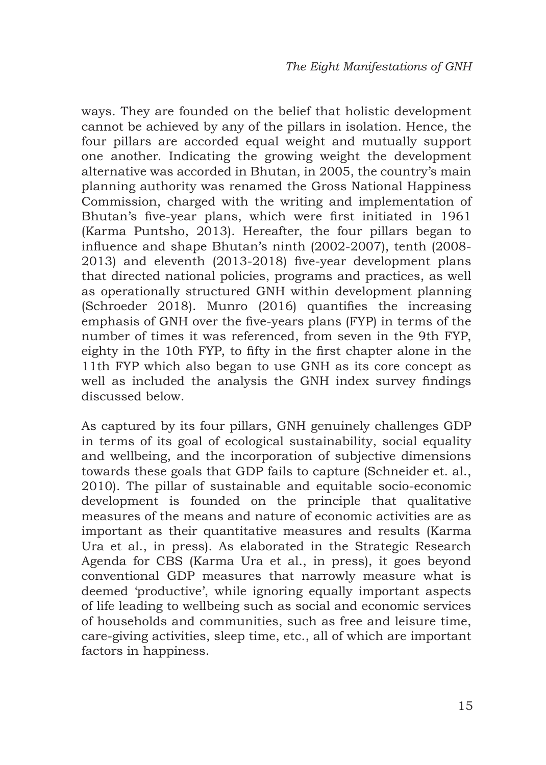ways. They are founded on the belief that holistic development cannot be achieved by any of the pillars in isolation. Hence, the four pillars are accorded equal weight and mutually support one another. Indicating the growing weight the development alternative was accorded in Bhutan, in 2005, the country's main planning authority was renamed the Gross National Happiness Commission, charged with the writing and implementation of Bhutan's five-year plans, which were first initiated in 1961 (Karma Puntsho, 2013). Hereafter, the four pillars began to influence and shape Bhutan's ninth (2002-2007), tenth (2008- 2013) and eleventh (2013-2018) five-year development plans that directed national policies, programs and practices, as well as operationally structured GNH within development planning (Schroeder 2018). Munro (2016) quantifies the increasing emphasis of GNH over the five-years plans (FYP) in terms of the number of times it was referenced, from seven in the 9th FYP, eighty in the 10th FYP, to fifty in the first chapter alone in the 11th FYP which also began to use GNH as its core concept as well as included the analysis the GNH index survey findings discussed below.

As captured by its four pillars, GNH genuinely challenges GDP in terms of its goal of ecological sustainability, social equality and wellbeing, and the incorporation of subjective dimensions towards these goals that GDP fails to capture (Schneider et. al., 2010). The pillar of sustainable and equitable socio-economic development is founded on the principle that qualitative measures of the means and nature of economic activities are as important as their quantitative measures and results (Karma Ura et al., in press). As elaborated in the Strategic Research Agenda for CBS (Karma Ura et al., in press), it goes beyond conventional GDP measures that narrowly measure what is deemed 'productive', while ignoring equally important aspects of life leading to wellbeing such as social and economic services of households and communities, such as free and leisure time, care-giving activities, sleep time, etc., all of which are important factors in happiness.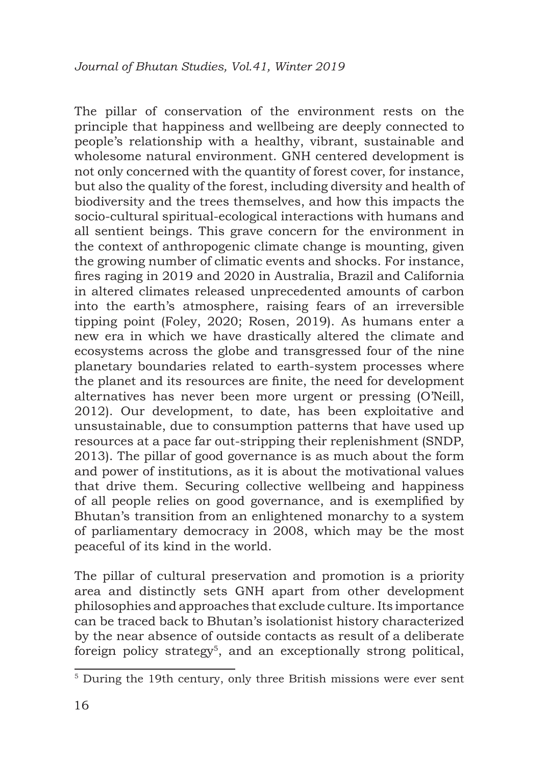The pillar of conservation of the environment rests on the principle that happiness and wellbeing are deeply connected to people's relationship with a healthy, vibrant, sustainable and wholesome natural environment. GNH centered development is not only concerned with the quantity of forest cover, for instance, but also the quality of the forest, including diversity and health of biodiversity and the trees themselves, and how this impacts the socio-cultural spiritual-ecological interactions with humans and all sentient beings. This grave concern for the environment in the context of anthropogenic climate change is mounting, given the growing number of climatic events and shocks. For instance, fires raging in 2019 and 2020 in Australia, Brazil and California in altered climates released unprecedented amounts of carbon into the earth's atmosphere, raising fears of an irreversible tipping point (Foley, 2020; Rosen, 2019). As humans enter a new era in which we have drastically altered the climate and ecosystems across the globe and transgressed four of the nine planetary boundaries related to earth-system processes where the planet and its resources are finite, the need for development alternatives has never been more urgent or pressing (O'Neill, 2012). Our development, to date, has been exploitative and unsustainable, due to consumption patterns that have used up resources at a pace far out-stripping their replenishment (SNDP, 2013). The pillar of good governance is as much about the form and power of institutions, as it is about the motivational values that drive them. Securing collective wellbeing and happiness of all people relies on good governance, and is exemplified by Bhutan's transition from an enlightened monarchy to a system of parliamentary democracy in 2008, which may be the most peaceful of its kind in the world.

The pillar of cultural preservation and promotion is a priority area and distinctly sets GNH apart from other development philosophies and approaches that exclude culture. Its importance can be traced back to Bhutan's isolationist history characterized by the near absence of outside contacts as result of a deliberate foreign policy strategy<sup>5</sup>, and an exceptionally strong political,

<sup>5</sup> During the 19th century, only three British missions were ever sent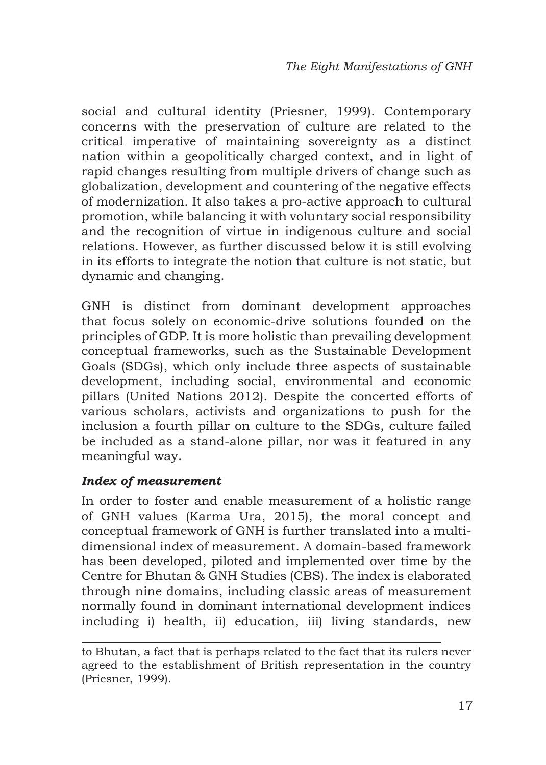social and cultural identity (Priesner, 1999). Contemporary concerns with the preservation of culture are related to the critical imperative of maintaining sovereignty as a distinct nation within a geopolitically charged context, and in light of rapid changes resulting from multiple drivers of change such as globalization, development and countering of the negative effects of modernization. It also takes a pro-active approach to cultural promotion, while balancing it with voluntary social responsibility and the recognition of virtue in indigenous culture and social relations. However, as further discussed below it is still evolving in its efforts to integrate the notion that culture is not static, but dynamic and changing.

GNH is distinct from dominant development approaches that focus solely on economic-drive solutions founded on the principles of GDP. It is more holistic than prevailing development conceptual frameworks, such as the Sustainable Development Goals (SDGs), which only include three aspects of sustainable development, including social, environmental and economic pillars (United Nations 2012). Despite the concerted efforts of various scholars, activists and organizations to push for the inclusion a fourth pillar on culture to the SDGs, culture failed be included as a stand-alone pillar, nor was it featured in any meaningful way.

## *Index of measurement*

In order to foster and enable measurement of a holistic range of GNH values (Karma Ura, 2015), the moral concept and conceptual framework of GNH is further translated into a multidimensional index of measurement. A domain-based framework has been developed, piloted and implemented over time by the Centre for Bhutan & GNH Studies (CBS). The index is elaborated through nine domains, including classic areas of measurement normally found in dominant international development indices including i) health, ii) education, iii) living standards, new

to Bhutan, a fact that is perhaps related to the fact that its rulers never agreed to the establishment of British representation in the country (Priesner, 1999).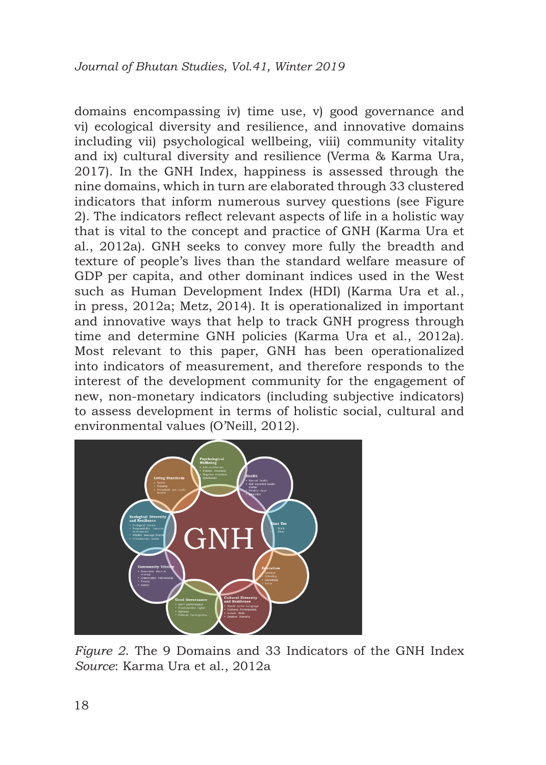domains encompassing iv) time use, v) good governance and vi) ecological diversity and resilience, and innovative domains including vii) psychological wellbeing, viii) community vitality and ix) cultural diversity and resilience (Verma & Karma Ura, 2017). In the GNH Index, happiness is assessed through the nine domains, which in turn are elaborated through 33 clustered indicators that inform numerous survey questions (see Figure 2). The indicators reflect relevant aspects of life in a holistic way that is vital to the concept and practice of GNH (Karma Ura et al., 2012a). GNH seeks to convey more fully the breadth and texture of people's lives than the standard welfare measure of GDP per capita, and other dominant indices used in the West such as Human Development Index (HDI) (Karma Ura et al., in press, 2012a; Metz, 2014). It is operationalized in important and innovative ways that help to track GNH progress through time and determine GNH policies (Karma Ura et al., 2012a). Most relevant to this paper, GNH has been operationalized into indicators of measurement, and therefore responds to the interest of the development community for the engagement of new, non-monetary indicators (including subjective indicators) to assess development in terms of holistic social, cultural and environmental values (O'Neill, 2012).



*Figure 2*. The 9 Domains and 33 Indicators of the GNH Index *Source*: Karma Ura et al., 2012a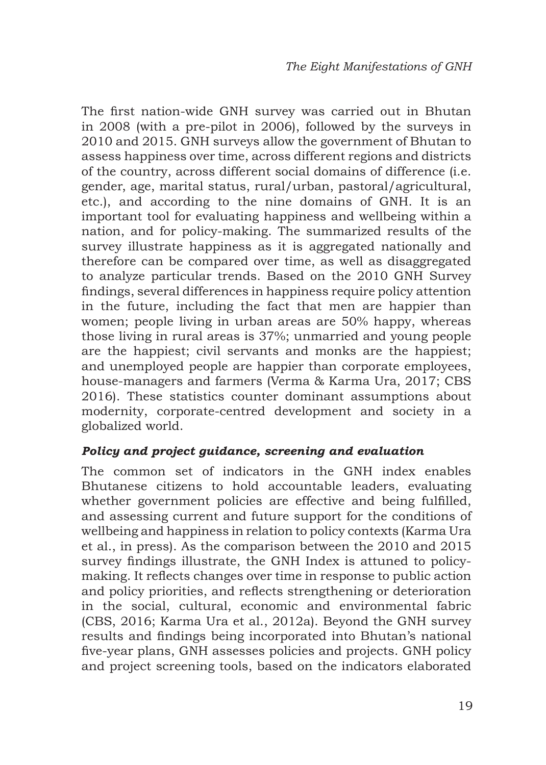The first nation-wide GNH survey was carried out in Bhutan in 2008 (with a pre-pilot in 2006), followed by the surveys in 2010 and 2015. GNH surveys allow the government of Bhutan to assess happiness over time, across different regions and districts of the country, across different social domains of difference (i.e. gender, age, marital status, rural/urban, pastoral/agricultural, etc.), and according to the nine domains of GNH. It is an important tool for evaluating happiness and wellbeing within a nation, and for policy-making. The summarized results of the survey illustrate happiness as it is aggregated nationally and therefore can be compared over time, as well as disaggregated to analyze particular trends. Based on the 2010 GNH Survey findings, several differences in happiness require policy attention in the future, including the fact that men are happier than women; people living in urban areas are 50% happy, whereas those living in rural areas is 37%; unmarried and young people are the happiest; civil servants and monks are the happiest; and unemployed people are happier than corporate employees, house-managers and farmers (Verma & Karma Ura, 2017; CBS 2016). These statistics counter dominant assumptions about modernity, corporate-centred development and society in a globalized world.

#### *Policy and project guidance, screening and evaluation*

The common set of indicators in the GNH index enables Bhutanese citizens to hold accountable leaders, evaluating whether government policies are effective and being fulfilled, and assessing current and future support for the conditions of wellbeing and happiness in relation to policy contexts (Karma Ura et al., in press). As the comparison between the 2010 and 2015 survey findings illustrate, the GNH Index is attuned to policymaking. It reflects changes over time in response to public action and policy priorities, and reflects strengthening or deterioration in the social, cultural, economic and environmental fabric (CBS, 2016; Karma Ura et al., 2012a). Beyond the GNH survey results and findings being incorporated into Bhutan's national five-year plans, GNH assesses policies and projects. GNH policy and project screening tools, based on the indicators elaborated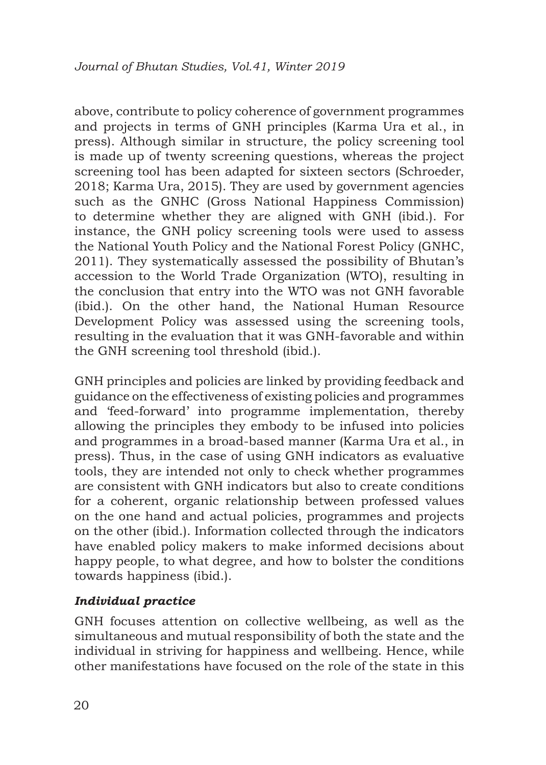above, contribute to policy coherence of government programmes and projects in terms of GNH principles (Karma Ura et al., in press). Although similar in structure, the policy screening tool is made up of twenty screening questions, whereas the project screening tool has been adapted for sixteen sectors (Schroeder, 2018; Karma Ura, 2015). They are used by government agencies such as the GNHC (Gross National Happiness Commission) to determine whether they are aligned with GNH (ibid.). For instance, the GNH policy screening tools were used to assess the National Youth Policy and the National Forest Policy (GNHC, 2011). They systematically assessed the possibility of Bhutan's accession to the World Trade Organization (WTO), resulting in the conclusion that entry into the WTO was not GNH favorable (ibid.). On the other hand, the National Human Resource Development Policy was assessed using the screening tools, resulting in the evaluation that it was GNH-favorable and within the GNH screening tool threshold (ibid.).

GNH principles and policies are linked by providing feedback and guidance on the effectiveness of existing policies and programmes and 'feed-forward' into programme implementation, thereby allowing the principles they embody to be infused into policies and programmes in a broad-based manner (Karma Ura et al., in press). Thus, in the case of using GNH indicators as evaluative tools, they are intended not only to check whether programmes are consistent with GNH indicators but also to create conditions for a coherent, organic relationship between professed values on the one hand and actual policies, programmes and projects on the other (ibid.). Information collected through the indicators have enabled policy makers to make informed decisions about happy people, to what degree, and how to bolster the conditions towards happiness (ibid.).

## *Individual practice*

GNH focuses attention on collective wellbeing, as well as the simultaneous and mutual responsibility of both the state and the individual in striving for happiness and wellbeing. Hence, while other manifestations have focused on the role of the state in this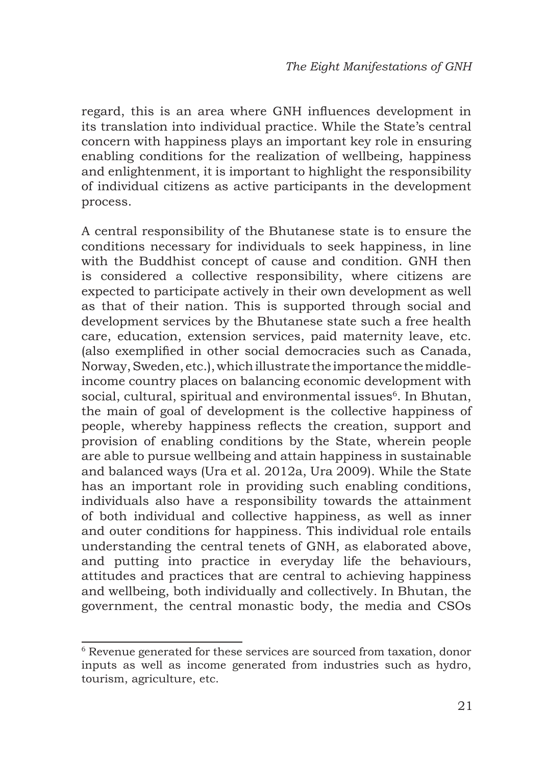regard, this is an area where GNH influences development in its translation into individual practice. While the State's central concern with happiness plays an important key role in ensuring enabling conditions for the realization of wellbeing, happiness and enlightenment, it is important to highlight the responsibility of individual citizens as active participants in the development process.

A central responsibility of the Bhutanese state is to ensure the conditions necessary for individuals to seek happiness, in line with the Buddhist concept of cause and condition. GNH then is considered a collective responsibility, where citizens are expected to participate actively in their own development as well as that of their nation. This is supported through social and development services by the Bhutanese state such a free health care, education, extension services, paid maternity leave, etc. (also exemplified in other social democracies such as Canada, Norway, Sweden, etc.), which illustrate the importance the middleincome country places on balancing economic development with social, cultural, spiritual and environmental issues<sup>6</sup>. In Bhutan, the main of goal of development is the collective happiness of people, whereby happiness reflects the creation, support and provision of enabling conditions by the State, wherein people are able to pursue wellbeing and attain happiness in sustainable and balanced ways (Ura et al. 2012a, Ura 2009). While the State has an important role in providing such enabling conditions, individuals also have a responsibility towards the attainment of both individual and collective happiness, as well as inner and outer conditions for happiness. This individual role entails understanding the central tenets of GNH, as elaborated above, and putting into practice in everyday life the behaviours, attitudes and practices that are central to achieving happiness and wellbeing, both individually and collectively. In Bhutan, the government, the central monastic body, the media and CSOs

<sup>&</sup>lt;sup>6</sup> Revenue generated for these services are sourced from taxation, donor inputs as well as income generated from industries such as hydro, tourism, agriculture, etc.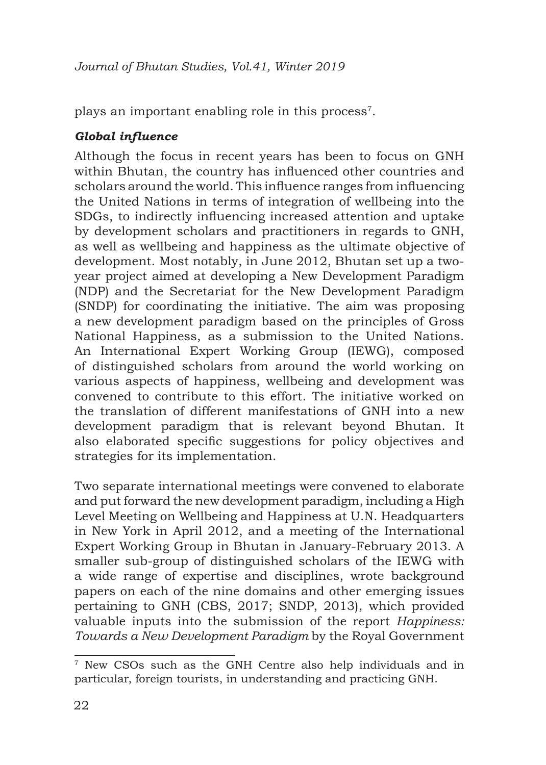plays an important enabling role in this process<sup>7</sup>.

# *Global influence*

Although the focus in recent years has been to focus on GNH within Bhutan, the country has influenced other countries and scholars around the world. This influence ranges from influencing the United Nations in terms of integration of wellbeing into the SDGs, to indirectly influencing increased attention and uptake by development scholars and practitioners in regards to GNH, as well as wellbeing and happiness as the ultimate objective of development. Most notably, in June 2012, Bhutan set up a twoyear project aimed at developing a New Development Paradigm (NDP) and the Secretariat for the New Development Paradigm (SNDP) for coordinating the initiative. The aim was proposing a new development paradigm based on the principles of Gross National Happiness, as a submission to the United Nations. An International Expert Working Group (IEWG), composed of distinguished scholars from around the world working on various aspects of happiness, wellbeing and development was convened to contribute to this effort. The initiative worked on the translation of different manifestations of GNH into a new development paradigm that is relevant beyond Bhutan. It also elaborated specific suggestions for policy objectives and strategies for its implementation.

Two separate international meetings were convened to elaborate and put forward the new development paradigm, including a High Level Meeting on Wellbeing and Happiness at U.N. Headquarters in New York in April 2012, and a meeting of the International Expert Working Group in Bhutan in January-February 2013. A smaller sub-group of distinguished scholars of the IEWG with a wide range of expertise and disciplines, wrote background papers on each of the nine domains and other emerging issues pertaining to GNH (CBS, 2017; SNDP, 2013), which provided valuable inputs into the submission of the report *Happiness: Towards a New Development Paradigm* by the Royal Government

<sup>7</sup> New CSOs such as the GNH Centre also help individuals and in particular, foreign tourists, in understanding and practicing GNH.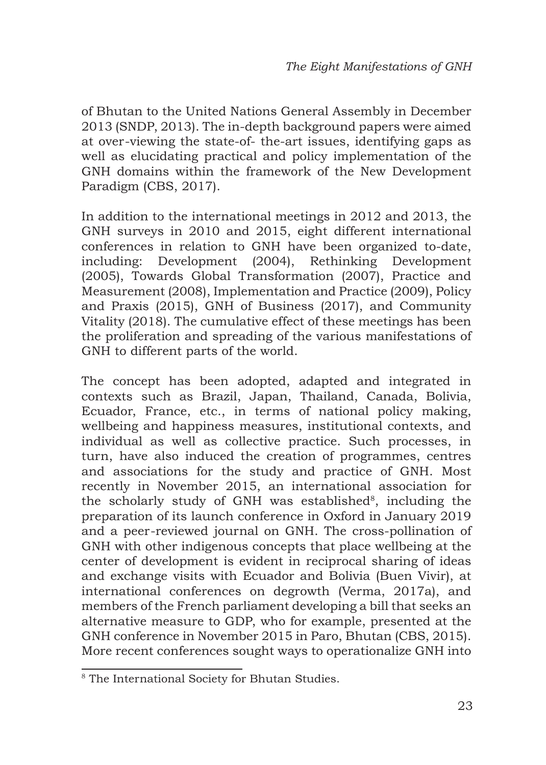of Bhutan to the United Nations General Assembly in December 2013 (SNDP, 2013). The in-depth background papers were aimed at over-viewing the state-of- the-art issues, identifying gaps as well as elucidating practical and policy implementation of the GNH domains within the framework of the New Development Paradigm (CBS, 2017).

In addition to the international meetings in 2012 and 2013, the GNH surveys in 2010 and 2015, eight different international conferences in relation to GNH have been organized to-date, including: Development (2004), Rethinking Development (2005), Towards Global Transformation (2007), Practice and Measurement (2008), Implementation and Practice (2009), Policy and Praxis (2015), GNH of Business (2017), and Community Vitality (2018). The cumulative effect of these meetings has been the proliferation and spreading of the various manifestations of GNH to different parts of the world.

The concept has been adopted, adapted and integrated in contexts such as Brazil, Japan, Thailand, Canada, Bolivia, Ecuador, France, etc., in terms of national policy making, wellbeing and happiness measures, institutional contexts, and individual as well as collective practice. Such processes, in turn, have also induced the creation of programmes, centres and associations for the study and practice of GNH. Most recently in November 2015, an international association for the scholarly study of GNH was established $8$ , including the preparation of its launch conference in Oxford in January 2019 and a peer-reviewed journal on GNH. The cross-pollination of GNH with other indigenous concepts that place wellbeing at the center of development is evident in reciprocal sharing of ideas and exchange visits with Ecuador and Bolivia (Buen Vivir), at international conferences on degrowth (Verma, 2017a), and members of the French parliament developing a bill that seeks an alternative measure to GDP, who for example, presented at the GNH conference in November 2015 in Paro, Bhutan (CBS, 2015). More recent conferences sought ways to operationalize GNH into

<sup>&</sup>lt;sup>8</sup> The International Society for Bhutan Studies.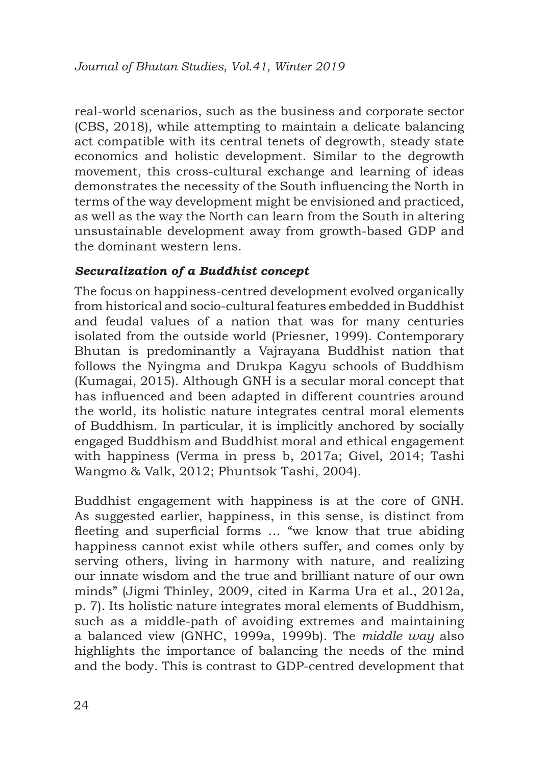real-world scenarios, such as the business and corporate sector (CBS, 2018), while attempting to maintain a delicate balancing act compatible with its central tenets of degrowth, steady state economics and holistic development. Similar to the degrowth movement, this cross-cultural exchange and learning of ideas demonstrates the necessity of the South influencing the North in terms of the way development might be envisioned and practiced, as well as the way the North can learn from the South in altering unsustainable development away from growth-based GDP and the dominant western lens.

#### *Securalization of a Buddhist concept*

The focus on happiness-centred development evolved organically from historical and socio-cultural features embedded in Buddhist and feudal values of a nation that was for many centuries isolated from the outside world (Priesner, 1999). Contemporary Bhutan is predominantly a Vajrayana Buddhist nation that follows the Nyingma and Drukpa Kagyu schools of Buddhism (Kumagai, 2015). Although GNH is a secular moral concept that has influenced and been adapted in different countries around the world, its holistic nature integrates central moral elements of Buddhism. In particular, it is implicitly anchored by socially engaged Buddhism and Buddhist moral and ethical engagement with happiness (Verma in press b, 2017a; Givel, 2014; Tashi Wangmo & Valk, 2012; Phuntsok Tashi, 2004).

Buddhist engagement with happiness is at the core of GNH. As suggested earlier, happiness, in this sense, is distinct from fleeting and superficial forms … "we know that true abiding happiness cannot exist while others suffer, and comes only by serving others, living in harmony with nature, and realizing our innate wisdom and the true and brilliant nature of our own minds" (Jigmi Thinley, 2009, cited in Karma Ura et al., 2012a, p. 7). Its holistic nature integrates moral elements of Buddhism, such as a middle-path of avoiding extremes and maintaining a balanced view (GNHC, 1999a, 1999b). The *middle way* also highlights the importance of balancing the needs of the mind and the body. This is contrast to GDP-centred development that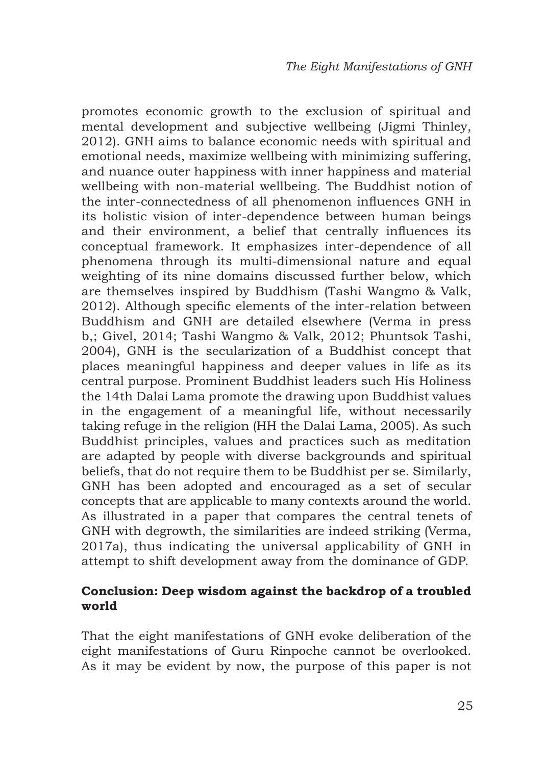promotes economic growth to the exclusion of spiritual and mental development and subjective wellbeing (Jigmi Thinley, 2012). GNH aims to balance economic needs with spiritual and emotional needs, maximize wellbeing with minimizing suffering, and nuance outer happiness with inner happiness and material wellbeing with non-material wellbeing. The Buddhist notion of the inter-connectedness of all phenomenon influences GNH in its holistic vision of inter-dependence between human beings and their environment, a belief that centrally influences its conceptual framework. It emphasizes inter-dependence of all phenomena through its multi-dimensional nature and equal weighting of its nine domains discussed further below, which are themselves inspired by Buddhism (Tashi Wangmo & Valk, 2012). Although specific elements of the inter-relation between Buddhism and GNH are detailed elsewhere (Verma in press b,; Givel, 2014; Tashi Wangmo & Valk, 2012; Phuntsok Tashi, 2004), GNH is the secularization of a Buddhist concept that places meaningful happiness and deeper values in life as its central purpose. Prominent Buddhist leaders such His Holiness the 14th Dalai Lama promote the drawing upon Buddhist values in the engagement of a meaningful life, without necessarily taking refuge in the religion (HH the Dalai Lama, 2005). As such Buddhist principles, values and practices such as meditation are adapted by people with diverse backgrounds and spiritual beliefs, that do not require them to be Buddhist per se. Similarly, GNH has been adopted and encouraged as a set of secular concepts that are applicable to many contexts around the world. As illustrated in a paper that compares the central tenets of GNH with degrowth, the similarities are indeed striking (Verma, 2017a), thus indicating the universal applicability of GNH in attempt to shift development away from the dominance of GDP.

#### **Conclusion: Deep wisdom against the backdrop of a troubled world**

That the eight manifestations of GNH evoke deliberation of the eight manifestations of Guru Rinpoche cannot be overlooked. As it may be evident by now, the purpose of this paper is not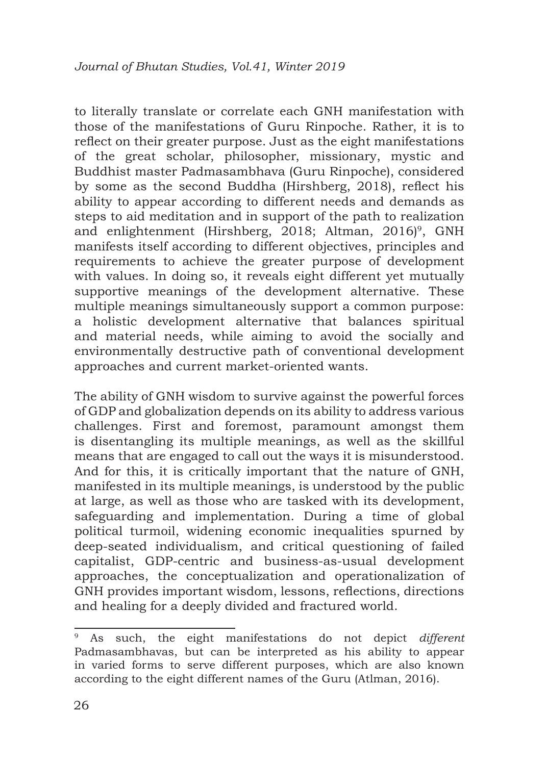to literally translate or correlate each GNH manifestation with those of the manifestations of Guru Rinpoche. Rather, it is to reflect on their greater purpose. Just as the eight manifestations of the great scholar, philosopher, missionary, mystic and Buddhist master Padmasambhava (Guru Rinpoche), considered by some as the second Buddha (Hirshberg, 2018), reflect his ability to appear according to different needs and demands as steps to aid meditation and in support of the path to realization and enlightenment (Hirshberg, 2018; Altman, 2016)<sup>9</sup>, GNH manifests itself according to different objectives, principles and requirements to achieve the greater purpose of development with values. In doing so, it reveals eight different yet mutually supportive meanings of the development alternative. These multiple meanings simultaneously support a common purpose: a holistic development alternative that balances spiritual and material needs, while aiming to avoid the socially and environmentally destructive path of conventional development approaches and current market-oriented wants.

The ability of GNH wisdom to survive against the powerful forces of GDP and globalization depends on its ability to address various challenges. First and foremost, paramount amongst them is disentangling its multiple meanings, as well as the skillful means that are engaged to call out the ways it is misunderstood. And for this, it is critically important that the nature of GNH, manifested in its multiple meanings, is understood by the public at large, as well as those who are tasked with its development, safeguarding and implementation. During a time of global political turmoil, widening economic inequalities spurned by deep-seated individualism, and critical questioning of failed capitalist, GDP-centric and business-as-usual development approaches, the conceptualization and operationalization of GNH provides important wisdom, lessons, reflections, directions and healing for a deeply divided and fractured world.

<sup>9</sup> As such, the eight manifestations do not depict *different* Padmasambhavas, but can be interpreted as his ability to appear in varied forms to serve different purposes, which are also known according to the eight different names of the Guru (Atlman, 2016).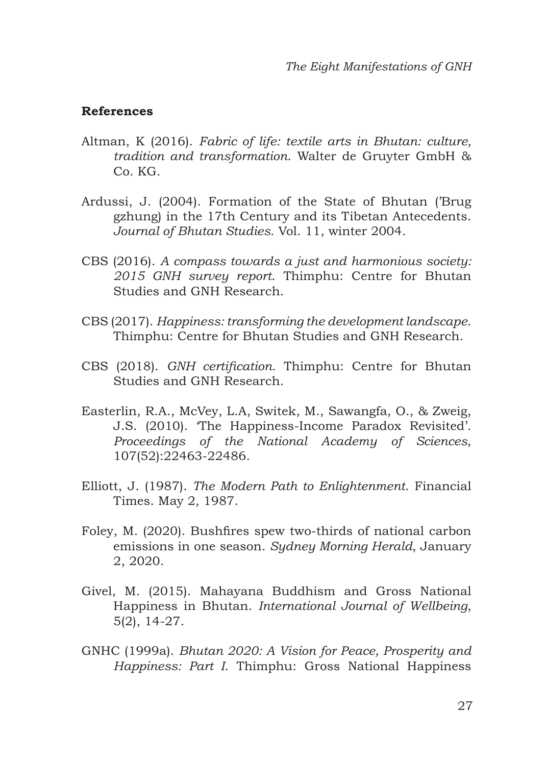#### **References**

- Altman, K (2016). *Fabric of life: textile arts in Bhutan: culture, tradition and transformation*. Walter de Gruyter GmbH & Co. KG.
- Ardussi, J. (2004). Formation of the State of Bhutan ('Brug gzhung) in the 17th Century and its Tibetan Antecedents. *Journal of Bhutan Studies*. Vol. 11, winter 2004.
- CBS (2016). *A compass towards a just and harmonious society: 2015 GNH survey report*. Thimphu: Centre for Bhutan Studies and GNH Research.
- CBS (2017). *Happiness: transforming the development landscape*. Thimphu: Centre for Bhutan Studies and GNH Research.
- CBS (2018). *GNH certification*. Thimphu: Centre for Bhutan Studies and GNH Research.
- Easterlin, R.A., McVey, L.A, Switek, M., Sawangfa, O., & Zweig, J.S. (2010). 'The Happiness-Income Paradox Revisited'. *Proceedings of the National Academy of Sciences*, 107(52):22463-22486.
- Elliott, J. (1987). *The Modern Path to Enlightenment*. Financial Times. May 2, 1987.
- Foley, M. (2020). Bushfires spew two-thirds of national carbon emissions in one season. *Sydney Morning Herald*, January 2, 2020.
- Givel, M. (2015). Mahayana Buddhism and Gross National Happiness in Bhutan. *International Journal of Wellbeing*, 5(2), 14-27.
- GNHC (1999a). *Bhutan 2020: A Vision for Peace, Prosperity and Happiness: Part I*. Thimphu: Gross National Happiness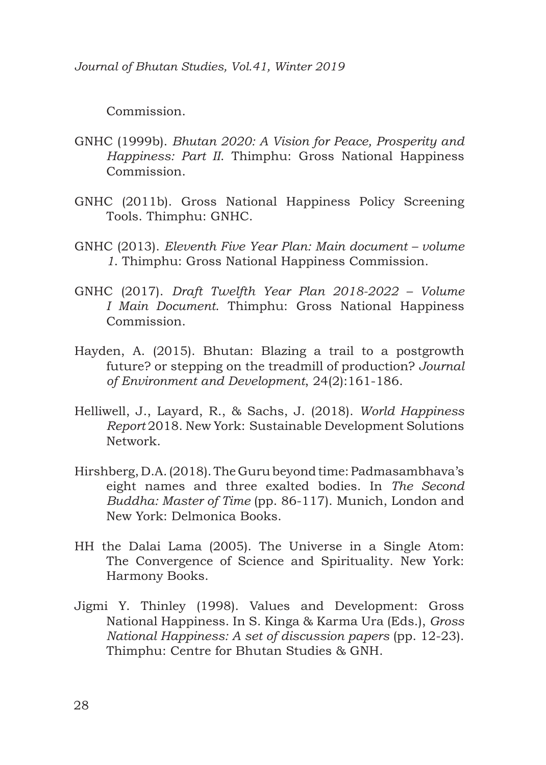*Journal of Bhutan Studies, Vol.41, Winter 2019*

Commission.

- GNHC (1999b). *Bhutan 2020: A Vision for Peace, Prosperity and Happiness: Part II*. Thimphu: Gross National Happiness Commission.
- GNHC (2011b). Gross National Happiness Policy Screening Tools. Thimphu: GNHC.
- GNHC (2013). *Eleventh Five Year Plan: Main document volume 1*. Thimphu: Gross National Happiness Commission.
- GNHC (2017). *Draft Twelfth Year Plan 2018-2022 Volume I Main Document*. Thimphu: Gross National Happiness Commission.
- Hayden, A. (2015). Bhutan: Blazing a trail to a postgrowth future? or stepping on the treadmill of production? *Journal of Environment and Development*, 24(2):161-186.
- Helliwell, J., Layard, R., & Sachs, J. (2018). *World Happiness Report* 2018. New York: Sustainable Development Solutions Network.
- Hirshberg, D.A. (2018). The Guru beyond time: Padmasambhava's eight names and three exalted bodies. In *The Second Buddha: Master of Time* (pp. 86-117). Munich, London and New York: Delmonica Books.
- HH the Dalai Lama (2005). The Universe in a Single Atom: The Convergence of Science and Spirituality. New York: Harmony Books.
- Jigmi Y. Thinley (1998). Values and Development: Gross National Happiness. In S. Kinga & Karma Ura (Eds.), *Gross National Happiness: A set of discussion papers* (pp. 12-23). Thimphu: Centre for Bhutan Studies & GNH.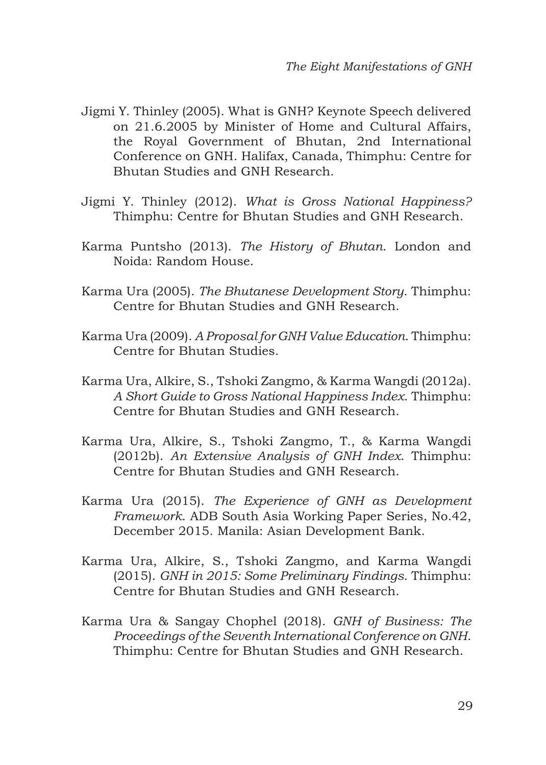- Jigmi Y. Thinley (2005). What is GNH? Keynote Speech delivered on 21.6.2005 by Minister of Home and Cultural Affairs, the Royal Government of Bhutan, 2nd International Conference on GNH. Halifax, Canada, Thimphu: Centre for Bhutan Studies and GNH Research.
- Jigmi Y. Thinley (2012). *What is Gross National Happiness?* Thimphu: Centre for Bhutan Studies and GNH Research.
- Karma Puntsho (2013). *The History of Bhutan*. London and Noida: Random House.
- Karma Ura (2005). *The Bhutanese Development Story*. Thimphu: Centre for Bhutan Studies and GNH Research.
- Karma Ura (2009). *A Proposal for GNH Value Education*. Thimphu: Centre for Bhutan Studies.
- Karma Ura, Alkire, S., Tshoki Zangmo, & Karma Wangdi (2012a). *A Short Guide to Gross National Happiness Index*. Thimphu: Centre for Bhutan Studies and GNH Research.
- Karma Ura, Alkire, S., Tshoki Zangmo, T., & Karma Wangdi (2012b). *An Extensive Analysis of GNH Index*. Thimphu: Centre for Bhutan Studies and GNH Research.
- Karma Ura (2015). *The Experience of GNH as Development Framework*. ADB South Asia Working Paper Series, No.42, December 2015. Manila: Asian Development Bank.
- Karma Ura, Alkire, S., Tshoki Zangmo, and Karma Wangdi (2015). *GNH in 2015: Some Preliminary Findings*. Thimphu: Centre for Bhutan Studies and GNH Research.
- Karma Ura & Sangay Chophel (2018). *GNH of Business: The Proceedings of the Seventh International Conference on GNH*. Thimphu: Centre for Bhutan Studies and GNH Research.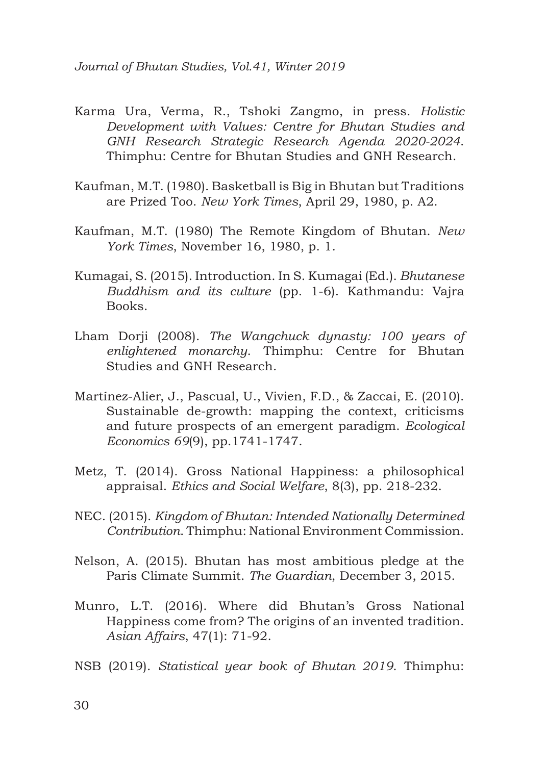*Journal of Bhutan Studies, Vol.41, Winter 2019*

- Karma Ura, Verma, R., Tshoki Zangmo, in press. *Holistic Development with Values: Centre for Bhutan Studies and GNH Research Strategic Research Agenda 2020-2024*. Thimphu: Centre for Bhutan Studies and GNH Research.
- Kaufman, M.T. (1980). Basketball is Big in Bhutan but Traditions are Prized Too. *New York Times*, April 29, 1980, p. A2.
- Kaufman, M.T. (1980) The Remote Kingdom of Bhutan. *New York Times*, November 16, 1980, p. 1.
- Kumagai, S. (2015). Introduction. In S. Kumagai (Ed.). *Bhutanese Buddhism and its culture* (pp. 1-6). Kathmandu: Vajra Books.
- Lham Dorji (2008). *The Wangchuck dynasty: 100 years of enlightened monarchy*. Thimphu: Centre for Bhutan Studies and GNH Research.
- Martínez-Alier, J., Pascual, U., Vivien, F.D., & Zaccai, E. (2010). Sustainable de-growth: mapping the context, criticisms and future prospects of an emergent paradigm. *Ecological Economics 69*(9), pp.1741-1747.
- Metz, T. (2014). Gross National Happiness: a philosophical appraisal. *Ethics and Social Welfare*, 8(3), pp. 218-232.
- NEC. (2015). *Kingdom of Bhutan: Intended Nationally Determined Contribution*. Thimphu: National Environment Commission.
- Nelson, A. (2015). Bhutan has most ambitious pledge at the Paris Climate Summit. *The Guardian*, December 3, 2015.
- Munro, L.T. (2016). Where did Bhutan's Gross National Happiness come from? The origins of an invented tradition. *Asian Affairs*, 47(1): 71-92.
- NSB (2019). *Statistical year book of Bhutan 2019*. Thimphu: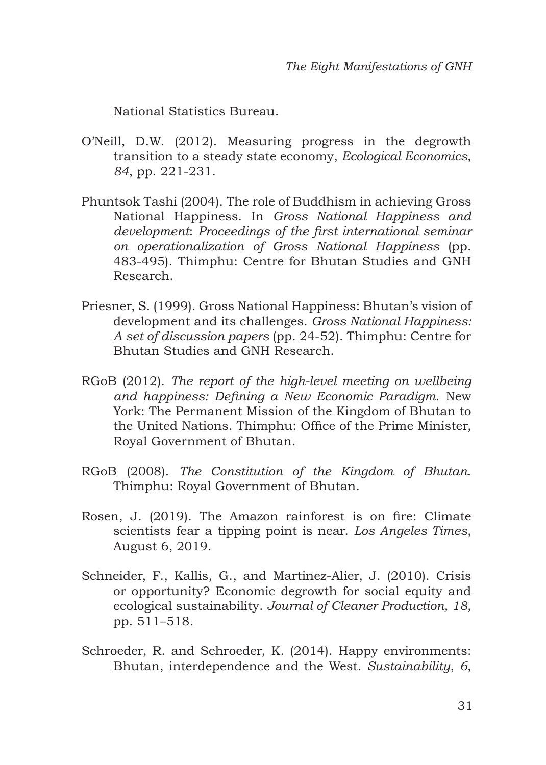National Statistics Bureau.

- O'Neill, D.W. (2012). Measuring progress in the degrowth transition to a steady state economy, *Ecological Economics*, *84*, pp. 221-231.
- Phuntsok Tashi (2004). The role of Buddhism in achieving Gross National Happiness. In *Gross National Happiness and development*: *Proceedings of the first international seminar on operationalization of Gross National Happiness* (pp. 483-495). Thimphu: Centre for Bhutan Studies and GNH Research.
- Priesner, S. (1999). Gross National Happiness: Bhutan's vision of development and its challenges. *Gross National Happiness: A set of discussion papers* (pp. 24-52). Thimphu: Centre for Bhutan Studies and GNH Research.
- RGoB (2012). *The report of the high-level meeting on wellbeing and happiness: Defining a New Economic Paradigm*. New York: The Permanent Mission of the Kingdom of Bhutan to the United Nations. Thimphu: Office of the Prime Minister, Royal Government of Bhutan.
- RGoB (2008). *The Constitution of the Kingdom of Bhutan*. Thimphu: Royal Government of Bhutan.
- Rosen, J. (2019). The Amazon rainforest is on fire: Climate scientists fear a tipping point is near. *Los Angeles Times*, August 6, 2019.
- Schneider, F., Kallis, G., and Martinez-Alier, J. (2010). Crisis or opportunity? Economic degrowth for social equity and ecological sustainability. *Journal of Cleaner Production, 18*, pp. 511–518.
- Schroeder, R. and Schroeder, K. (2014). Happy environments: Bhutan, interdependence and the West. *Sustainability*, *6*,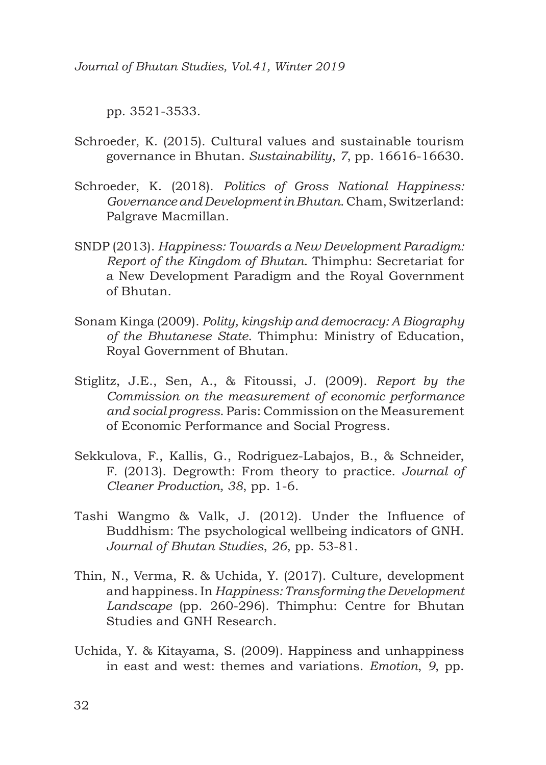*Journal of Bhutan Studies, Vol.41, Winter 2019*

pp. 3521-3533.

- Schroeder, K. (2015). Cultural values and sustainable tourism governance in Bhutan. *Sustainability*, *7*, pp. 16616-16630.
- Schroeder, K. (2018). *Politics of Gross National Happiness: Governance and Development in Bhutan*. Cham, Switzerland: Palgrave Macmillan.
- SNDP (2013). *Happiness: Towards a New Development Paradigm: Report of the Kingdom of Bhutan*. Thimphu: Secretariat for a New Development Paradigm and the Royal Government of Bhutan.
- Sonam Kinga (2009). *Polity, kingship and democracy: A Biography of the Bhutanese State*. Thimphu: Ministry of Education, Royal Government of Bhutan.
- Stiglitz, J.E., Sen, A., & Fitoussi, J. (2009). *Report by the Commission on the measurement of economic performance and social progress*. Paris: Commission on the Measurement of Economic Performance and Social Progress.
- Sekkulova, F., Kallis, G., Rodriguez-Labajos, B., & Schneider, F. (2013). Degrowth: From theory to practice. *Journal of Cleaner Production, 38*, pp. 1-6.
- Tashi Wangmo & Valk, J. (2012). Under the Influence of Buddhism: The psychological wellbeing indicators of GNH. *Journal of Bhutan Studies*, *26*, pp. 53-81.
- Thin, N., Verma, R. & Uchida, Y. (2017). Culture, development and happiness. In *Happiness: Transforming the Development Landscape* (pp. 260-296). Thimphu: Centre for Bhutan Studies and GNH Research.
- Uchida, Y. & Kitayama, S. (2009). Happiness and unhappiness in east and west: themes and variations. *Emotion*, *9*, pp.